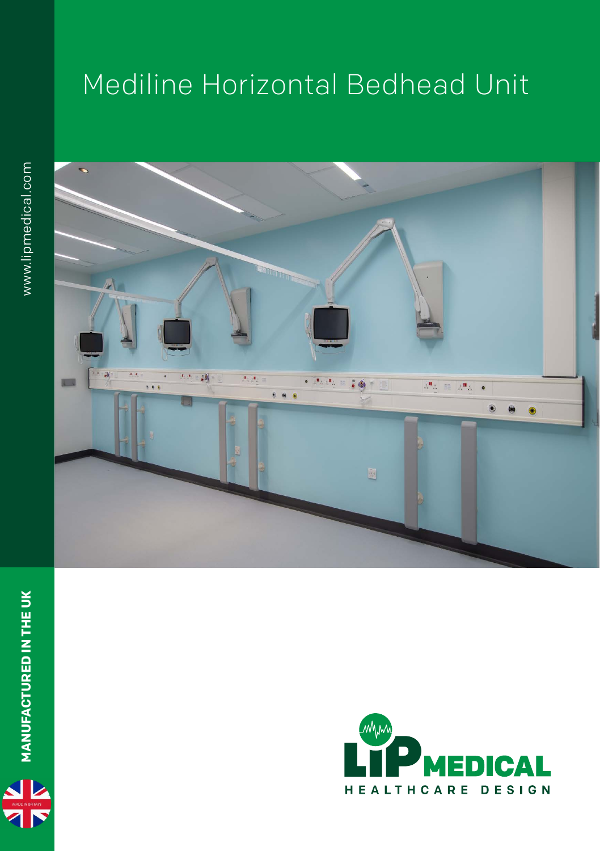## Mediline Horizontal Bedhead Unit





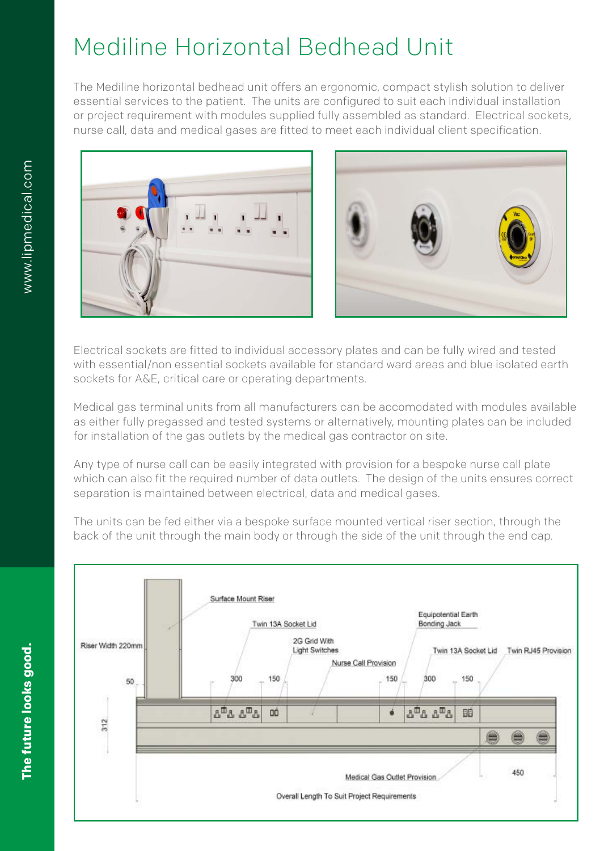## Mediline Horizontal Bedhead Unit

The Mediline horizontal bedhead unit offers an ergonomic, compact stylish solution to deliver essential services to the patient. The units are configured to suit each individual installation or project requirement with modules supplied fully assembled as standard. Electrical sockets, nurse call, data and medical gases are fitted to meet each individual client specification.





Electrical sockets are fitted to individual accessory plates and can be fully wired and tested with essential/non essential sockets available for standard ward areas and blue isolated earth sockets for A&E, critical care or operating departments.

Medical gas terminal units from all manufacturers can be accomodated with modules available as either fully pregassed and tested systems or alternatively, mounting plates can be included for installation of the gas outlets by the medical gas contractor on site.

Any type of nurse call can be easily integrated with provision for a bespoke nurse call plate which can also fit the required number of data outlets. The design of the units ensures correct separation is maintained between electrical, data and medical gases.

The units can be fed either via a bespoke surface mounted vertical riser section, through the back of the unit through the main body or through the side of the unit through the end cap.